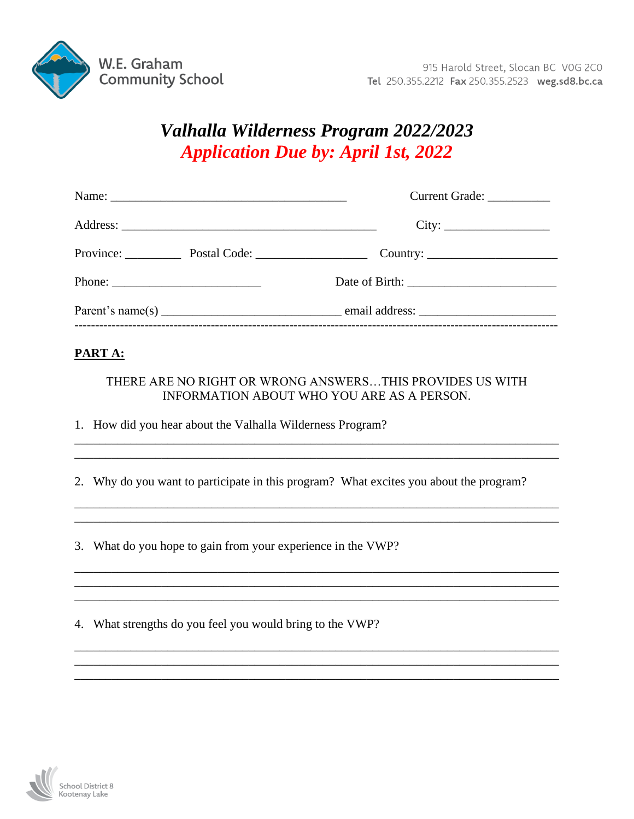

## Valhalla Wilderness Program 2022/2023 **Application Due by: April 1st, 2022**

|  |                                                                                                                                                                                                                                                                                                                                                                                                  | Current Grade: ___________               |  |  |
|--|--------------------------------------------------------------------------------------------------------------------------------------------------------------------------------------------------------------------------------------------------------------------------------------------------------------------------------------------------------------------------------------------------|------------------------------------------|--|--|
|  |                                                                                                                                                                                                                                                                                                                                                                                                  | City:                                    |  |  |
|  |                                                                                                                                                                                                                                                                                                                                                                                                  | Province: Postal Code: Country: Country: |  |  |
|  | Phone: $\frac{1}{\sqrt{1-\frac{1}{2}}}\left\{ \frac{1}{2} + \frac{1}{2} + \frac{1}{2} + \frac{1}{2} + \frac{1}{2} + \frac{1}{2} + \frac{1}{2} + \frac{1}{2} + \frac{1}{2} + \frac{1}{2} + \frac{1}{2} + \frac{1}{2} + \frac{1}{2} + \frac{1}{2} + \frac{1}{2} + \frac{1}{2} + \frac{1}{2} + \frac{1}{2} + \frac{1}{2} + \frac{1}{2} + \frac{1}{2} + \frac{1}{2} + \frac{1}{2} + \frac{1}{2} + \$ |                                          |  |  |
|  |                                                                                                                                                                                                                                                                                                                                                                                                  |                                          |  |  |

## PART A:

## THERE ARE NO RIGHT OR WRONG ANSWERS...THIS PROVIDES US WITH INFORMATION ABOUT WHO YOU ARE AS A PERSON.

1. How did you hear about the Valhalla Wilderness Program?

2. Why do you want to participate in this program? What excites you about the program?

3. What do you hope to gain from your experience in the VWP?

4. What strengths do you feel you would bring to the VWP?

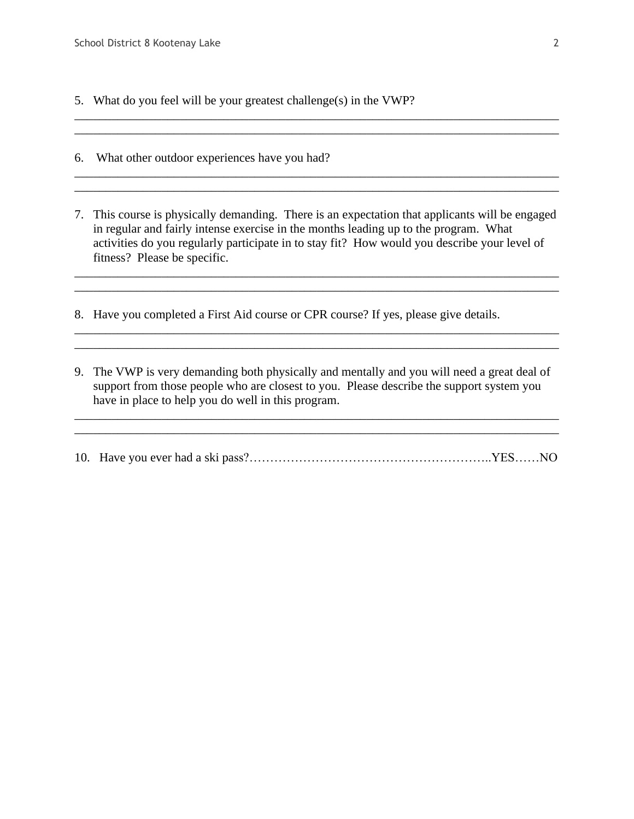- 5. What do you feel will be your greatest challenge(s) in the VWP?
- 6. What other outdoor experiences have you had?
- 7. This course is physically demanding. There is an expectation that applicants will be engaged in regular and fairly intense exercise in the months leading up to the program. What activities do you regularly participate in to stay fit? How would you describe your level of fitness? Please be specific.

\_\_\_\_\_\_\_\_\_\_\_\_\_\_\_\_\_\_\_\_\_\_\_\_\_\_\_\_\_\_\_\_\_\_\_\_\_\_\_\_\_\_\_\_\_\_\_\_\_\_\_\_\_\_\_\_\_\_\_\_\_\_\_\_\_\_\_\_\_\_\_\_\_\_\_\_\_\_ \_\_\_\_\_\_\_\_\_\_\_\_\_\_\_\_\_\_\_\_\_\_\_\_\_\_\_\_\_\_\_\_\_\_\_\_\_\_\_\_\_\_\_\_\_\_\_\_\_\_\_\_\_\_\_\_\_\_\_\_\_\_\_\_\_\_\_\_\_\_\_\_\_\_\_\_\_\_

\_\_\_\_\_\_\_\_\_\_\_\_\_\_\_\_\_\_\_\_\_\_\_\_\_\_\_\_\_\_\_\_\_\_\_\_\_\_\_\_\_\_\_\_\_\_\_\_\_\_\_\_\_\_\_\_\_\_\_\_\_\_\_\_\_\_\_\_\_\_\_\_\_\_\_\_\_\_ \_\_\_\_\_\_\_\_\_\_\_\_\_\_\_\_\_\_\_\_\_\_\_\_\_\_\_\_\_\_\_\_\_\_\_\_\_\_\_\_\_\_\_\_\_\_\_\_\_\_\_\_\_\_\_\_\_\_\_\_\_\_\_\_\_\_\_\_\_\_\_\_\_\_\_\_\_\_

\_\_\_\_\_\_\_\_\_\_\_\_\_\_\_\_\_\_\_\_\_\_\_\_\_\_\_\_\_\_\_\_\_\_\_\_\_\_\_\_\_\_\_\_\_\_\_\_\_\_\_\_\_\_\_\_\_\_\_\_\_\_\_\_\_\_\_\_\_\_\_\_\_\_\_\_\_\_

\_\_\_\_\_\_\_\_\_\_\_\_\_\_\_\_\_\_\_\_\_\_\_\_\_\_\_\_\_\_\_\_\_\_\_\_\_\_\_\_\_\_\_\_\_\_\_\_\_\_\_\_\_\_\_\_\_\_\_\_\_\_\_\_\_\_\_\_\_\_\_\_\_\_\_\_\_\_ \_\_\_\_\_\_\_\_\_\_\_\_\_\_\_\_\_\_\_\_\_\_\_\_\_\_\_\_\_\_\_\_\_\_\_\_\_\_\_\_\_\_\_\_\_\_\_\_\_\_\_\_\_\_\_\_\_\_\_\_\_\_\_\_\_\_\_\_\_\_\_\_\_\_\_\_\_\_

- 8. Have you completed a First Aid course or CPR course? If yes, please give details.
- 9. The VWP is very demanding both physically and mentally and you will need a great deal of support from those people who are closest to you. Please describe the support system you have in place to help you do well in this program.

10. Have you ever had a ski pass?…………………………………………………..YES……NO

\_\_\_\_\_\_\_\_\_\_\_\_\_\_\_\_\_\_\_\_\_\_\_\_\_\_\_\_\_\_\_\_\_\_\_\_\_\_\_\_\_\_\_\_\_\_\_\_\_\_\_\_\_\_\_\_\_\_\_\_\_\_\_\_\_\_\_\_\_\_\_\_\_\_\_\_\_\_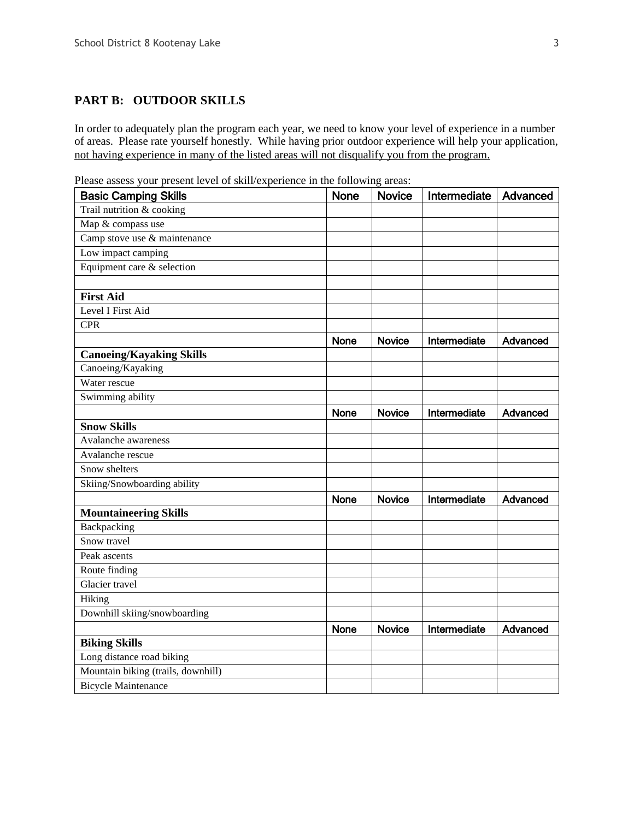## **PART B: OUTDOOR SKILLS**

In order to adequately plan the program each year, we need to know your level of experience in a number of areas. Please rate yourself honestly. While having prior outdoor experience will help your application, not having experience in many of the listed areas will not disqualify you from the program.

Please assess your present level of skill/experience in the following areas:

| <b>Basic Camping Skills</b>        | <b>None</b> | <b>Novice</b> | Intermediate | Advanced |
|------------------------------------|-------------|---------------|--------------|----------|
| Trail nutrition & cooking          |             |               |              |          |
| Map & compass use                  |             |               |              |          |
| Camp stove use & maintenance       |             |               |              |          |
| Low impact camping                 |             |               |              |          |
| Equipment care & selection         |             |               |              |          |
|                                    |             |               |              |          |
| <b>First Aid</b>                   |             |               |              |          |
| Level I First Aid                  |             |               |              |          |
| <b>CPR</b>                         |             |               |              |          |
|                                    | <b>None</b> | <b>Novice</b> | Intermediate | Advanced |
| <b>Canoeing/Kayaking Skills</b>    |             |               |              |          |
| Canoeing/Kayaking                  |             |               |              |          |
| Water rescue                       |             |               |              |          |
| Swimming ability                   |             |               |              |          |
|                                    | <b>None</b> | <b>Novice</b> | Intermediate | Advanced |
| <b>Snow Skills</b>                 |             |               |              |          |
| Avalanche awareness                |             |               |              |          |
| Avalanche rescue                   |             |               |              |          |
| Snow shelters                      |             |               |              |          |
| Skiing/Snowboarding ability        |             |               |              |          |
|                                    | None        | <b>Novice</b> | Intermediate | Advanced |
| <b>Mountaineering Skills</b>       |             |               |              |          |
| Backpacking                        |             |               |              |          |
| Snow travel                        |             |               |              |          |
| Peak ascents                       |             |               |              |          |
| Route finding                      |             |               |              |          |
| Glacier travel                     |             |               |              |          |
| Hiking                             |             |               |              |          |
| Downhill skiing/snowboarding       |             |               |              |          |
|                                    | <b>None</b> | <b>Novice</b> | Intermediate | Advanced |
| <b>Biking Skills</b>               |             |               |              |          |
| Long distance road biking          |             |               |              |          |
| Mountain biking (trails, downhill) |             |               |              |          |
| <b>Bicycle Maintenance</b>         |             |               |              |          |